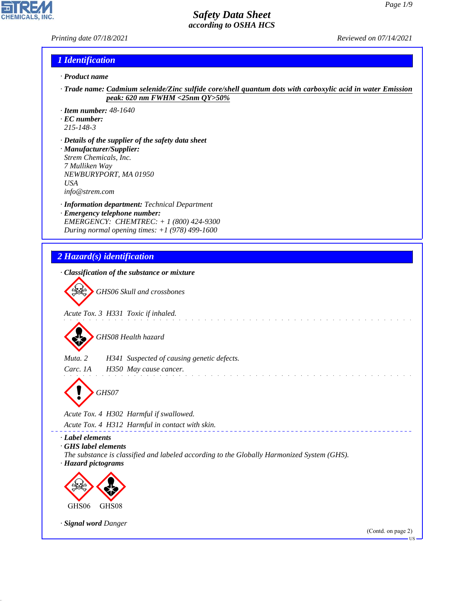*Printing date 07/18/2021 Reviewed on 07/14/2021*

**CHEMICALS** 

#### *1 Identification*

- *· Product name*
- *· Trade name: Cadmium selenide/Zinc sulfide core/shell quantum dots with carboxylic acid in water Emission peak: 620 nm FWHM <25nm QY>50%*
- *· Item number: 48-1640*
- *· EC number:*
- *215-148-3*

44.1.1

- *· Details of the supplier of the safety data sheet · Manufacturer/Supplier: Strem Chemicals, Inc. 7 Mulliken Way NEWBURYPORT, MA 01950 USA info@strem.com*
- *· Information department: Technical Department · Emergency telephone number: EMERGENCY: CHEMTREC: + 1 (800) 424-9300 During normal opening times: +1 (978) 499-1600*
- *2 Hazard(s) identification · Classification of the substance or mixture* d~*GHS06 Skull and crossbones Acute Tox. 3 H331 Toxic if inhaled.* d~*GHS08 Health hazard Muta. 2 H341 Suspected of causing genetic defects. Carc. 1A H350 May cause cancer.* a dia manana amin'ny fivondronan-kaominin'i d~*GHS07 Acute Tox. 4 H302 Harmful if swallowed. Acute Tox. 4 H312 Harmful in contact with skin. · Label elements · GHS label elements The substance is classified and labeled according to the Globally Harmonized System (GHS). · Hazard pictograms* **design de la comparativa de la comparativa de la comparativa de la comparativa de la comparativa de la comparativa de la comparativa de la comparativa de la comparativa de la comparativa de la comparativa de la comparativa de la** GHS06 GHS08 *· Signal word Danger* (Contd. on page 2)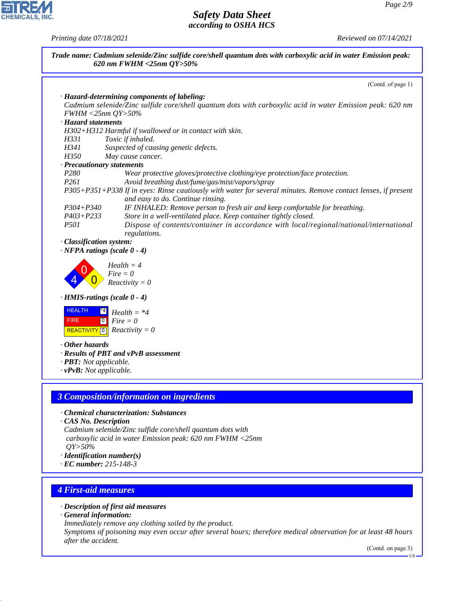*Printing date 07/18/2021 Reviewed on 07/14/2021*



- *· Description of first aid measures*
- *· General information:*

44.1.1

*Immediately remove any clothing soiled by the product.*

*Symptoms of poisoning may even occur after several hours; therefore medical observation for at least 48 hours after the accident.*

(Contd. on page 3)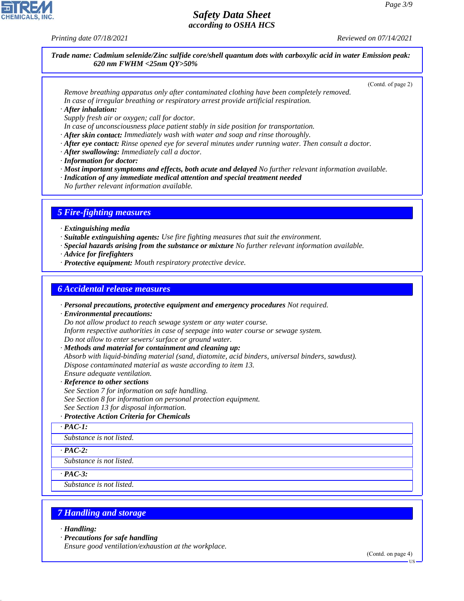*Printing date 07/18/2021 Reviewed on 07/14/2021*

*Trade name: Cadmium selenide/Zinc sulfide core/shell quantum dots with carboxylic acid in water Emission peak: 620 nm FWHM <25nm QY>50%*

(Contd. of page 2)

*Remove breathing apparatus only after contaminated clothing have been completely removed. In case of irregular breathing or respiratory arrest provide artificial respiration.*

*· After inhalation:*

*Supply fresh air or oxygen; call for doctor.*

- *In case of unconsciousness place patient stably in side position for transportation.*
- *· After skin contact: Immediately wash with water and soap and rinse thoroughly.*
- *· After eye contact: Rinse opened eye for several minutes under running water. Then consult a doctor.*
- *· After swallowing: Immediately call a doctor.*
- *· Information for doctor:*
- *· Most important symptoms and effects, both acute and delayed No further relevant information available.*
- *· Indication of any immediate medical attention and special treatment needed*
- *No further relevant information available.*

# *5 Fire-fighting measures*

- *· Extinguishing media*
- *· Suitable extinguishing agents: Use fire fighting measures that suit the environment.*
- *· Special hazards arising from the substance or mixture No further relevant information available.*
- *· Advice for firefighters*
- *· Protective equipment: Mouth respiratory protective device.*

#### *6 Accidental release measures*

*· Personal precautions, protective equipment and emergency procedures Not required.*

*· Environmental precautions:*

*Do not allow product to reach sewage system or any water course.*

*Inform respective authorities in case of seepage into water course or sewage system. Do not allow to enter sewers/ surface or ground water.*

*· Methods and material for containment and cleaning up:*

*Absorb with liquid-binding material (sand, diatomite, acid binders, universal binders, sawdust). Dispose contaminated material as waste according to item 13.*

# *Ensure adequate ventilation.*

*· Reference to other sections See Section 7 for information on safe handling. See Section 8 for information on personal protection equipment.*

*See Section 13 for disposal information.*

#### *· Protective Action Criteria for Chemicals*

*· PAC-1:*

*Substance is not listed.*

*· PAC-2:*

*Substance is not listed.*

*· PAC-3:*

*Substance is not listed.*

#### *7 Handling and storage*

*· Handling:*

44.1.1

*· Precautions for safe handling*

*Ensure good ventilation/exhaustion at the workplace.*

(Contd. on page 4)



US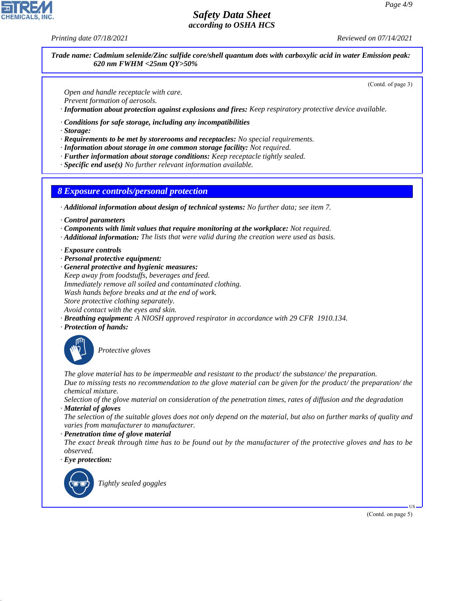*Printing date 07/18/2021 Reviewed on 07/14/2021*

*Trade name: Cadmium selenide/Zinc sulfide core/shell quantum dots with carboxylic acid in water Emission peak: 620 nm FWHM <25nm QY>50%*

(Contd. of page 3)

*Open and handle receptacle with care.*

*Prevent formation of aerosols.*

*· Information about protection against explosions and fires: Keep respiratory protective device available.*

*· Conditions for safe storage, including any incompatibilities*

*· Storage:*

*· Requirements to be met by storerooms and receptacles: No special requirements.*

*· Information about storage in one common storage facility: Not required.*

*· Further information about storage conditions: Keep receptacle tightly sealed.*

*· Specific end use(s) No further relevant information available.*

*8 Exposure controls/personal protection*

*· Additional information about design of technical systems: No further data; see item 7.*

*· Control parameters*

*· Components with limit values that require monitoring at the workplace: Not required.*

*· Additional information: The lists that were valid during the creation were used as basis.*

- *· Exposure controls*
- *· Personal protective equipment:*
- *· General protective and hygienic measures: Keep away from foodstuffs, beverages and feed. Immediately remove all soiled and contaminated clothing. Wash hands before breaks and at the end of work. Store protective clothing separately. Avoid contact with the eyes and skin.*
- *· Breathing equipment: A NIOSH approved respirator in accordance with 29 CFR 1910.134.*
- *· Protection of hands:*



\_S*Protective gloves*

*The glove material has to be impermeable and resistant to the product/ the substance/ the preparation. Due to missing tests no recommendation to the glove material can be given for the product/ the preparation/ the chemical mixture.*

*Selection of the glove material on consideration of the penetration times, rates of diffusion and the degradation · Material of gloves*

*The selection of the suitable gloves does not only depend on the material, but also on further marks of quality and varies from manufacturer to manufacturer.*

*· Penetration time of glove material*

*The exact break through time has to be found out by the manufacturer of the protective gloves and has to be observed.*

*· Eye protection:*



44.1.1

\_R*Tightly sealed goggles*

(Contd. on page 5)

US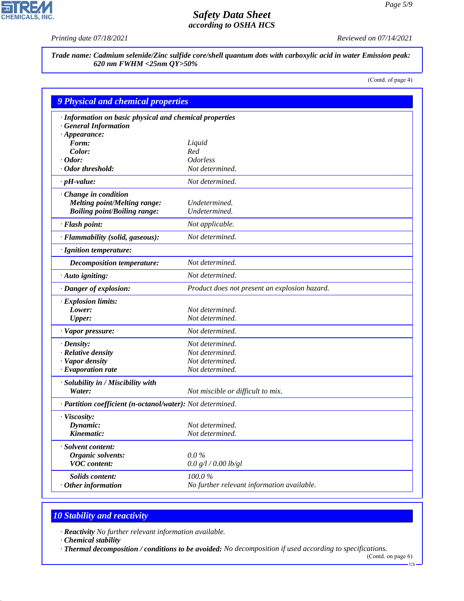$\mathbf{r}$ 

**CHEMICALS, INC.** 

*Printing date 07/18/2021 Reviewed on 07/14/2021*

*Trade name: Cadmium selenide/Zinc sulfide core/shell quantum dots with carboxylic acid in water Emission peak: 620 nm FWHM <25nm QY>50%*

(Contd. of page 4)

| <b>9 Physical and chemical properties</b>                  |                                               |  |
|------------------------------------------------------------|-----------------------------------------------|--|
| · Information on basic physical and chemical properties    |                                               |  |
| · General Information                                      |                                               |  |
| $\cdot$ Appearance:                                        |                                               |  |
| Form:                                                      | Liquid                                        |  |
| Color:                                                     | Red                                           |  |
| $\cdot$ Odor:                                              | <i><b>Odorless</b></i>                        |  |
| · Odor threshold:                                          | Not determined.                               |  |
| $\cdot$ pH-value:                                          | Not determined.                               |  |
| · Change in condition                                      |                                               |  |
| <b>Melting point/Melting range:</b>                        | Undetermined.                                 |  |
| <b>Boiling point/Boiling range:</b>                        | Undetermined.                                 |  |
| · Flash point:                                             | Not applicable.                               |  |
| · Flammability (solid, gaseous):                           | Not determined.                               |  |
| · Ignition temperature:                                    |                                               |  |
| <b>Decomposition temperature:</b>                          | Not determined.                               |  |
| $\cdot$ Auto igniting:                                     | Not determined.                               |  |
| · Danger of explosion:                                     | Product does not present an explosion hazard. |  |
| · Explosion limits:                                        |                                               |  |
| Lower:                                                     | Not determined.                               |  |
| <b>Upper:</b>                                              | Not determined.                               |  |
| · Vapor pressure:                                          | Not determined.                               |  |
| $\cdot$ Density:                                           | Not determined.                               |  |
| · Relative density                                         | Not determined.                               |  |
| · Vapor density                                            | Not determined.                               |  |
| $\cdot$ Evaporation rate                                   | Not determined.                               |  |
| · Solubility in / Miscibility with                         |                                               |  |
| Water:                                                     | Not miscible or difficult to mix.             |  |
| · Partition coefficient (n-octanol/water): Not determined. |                                               |  |
| · Viscosity:                                               |                                               |  |
| Dynamic:                                                   | Not determined.                               |  |
| Kinematic:                                                 | Not determined.                               |  |
| · Solvent content:                                         |                                               |  |
| Organic solvents:                                          | $0.0\%$                                       |  |
| <b>VOC</b> content:                                        | 0.0 g/l / 0.00 lb/gl                          |  |
| <b>Solids content:</b>                                     | $100.0~\%$                                    |  |
| $\cdot$ Other information                                  | No further relevant information available.    |  |

# *10 Stability and reactivity*

*· Reactivity No further relevant information available.*

*· Chemical stability*

44.1.1

*· Thermal decomposition / conditions to be avoided: No decomposition if used according to specifications.*

<sup>(</sup>Contd. on page 6)  $-US$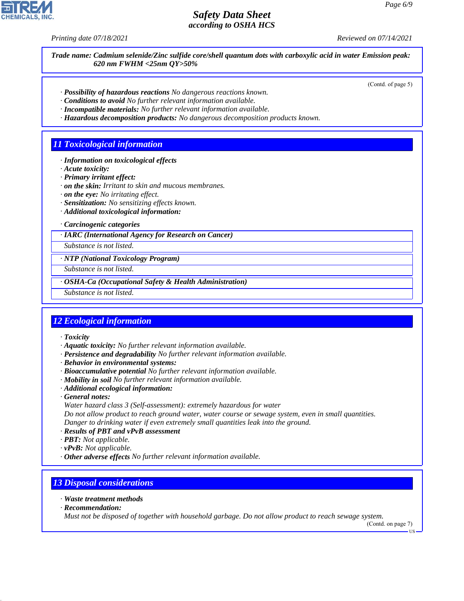*Printing date 07/18/2021 Reviewed on 07/14/2021*

*Trade name: Cadmium selenide/Zinc sulfide core/shell quantum dots with carboxylic acid in water Emission peak: 620 nm FWHM <25nm QY>50%*

(Contd. of page 5)

- *· Possibility of hazardous reactions No dangerous reactions known.*
- *· Conditions to avoid No further relevant information available.*
- *· Incompatible materials: No further relevant information available.*
- *· Hazardous decomposition products: No dangerous decomposition products known.*

#### *11 Toxicological information*

- *· Information on toxicological effects*
- *· Acute toxicity:*
- *· Primary irritant effect:*
- *· on the skin: Irritant to skin and mucous membranes.*
- *· on the eye: No irritating effect.*
- *· Sensitization: No sensitizing effects known.*
- *· Additional toxicological information:*

*· Carcinogenic categories*

*· IARC (International Agency for Research on Cancer)*

*Substance is not listed.*

*· NTP (National Toxicology Program)*

*Substance is not listed.*

*· OSHA-Ca (Occupational Safety & Health Administration)*

*Substance is not listed.*

#### *12 Ecological information*

*· Toxicity*

- *· Aquatic toxicity: No further relevant information available.*
- *· Persistence and degradability No further relevant information available.*
- *· Behavior in environmental systems:*
- *· Bioaccumulative potential No further relevant information available.*
- *· Mobility in soil No further relevant information available.*
- *· Additional ecological information:*
- *· General notes:*
- *Water hazard class 3 (Self-assessment): extremely hazardous for water*

*Do not allow product to reach ground water, water course or sewage system, even in small quantities. Danger to drinking water if even extremely small quantities leak into the ground.*

- *· Results of PBT and vPvB assessment*
- *· PBT: Not applicable.*
- *· vPvB: Not applicable.*
- *· Other adverse effects No further relevant information available.*

#### *13 Disposal considerations*

- *· Waste treatment methods*
- *· Recommendation:*

44.1.1

*Must not be disposed of together with household garbage. Do not allow product to reach sewage system.*

(Contd. on page 7) US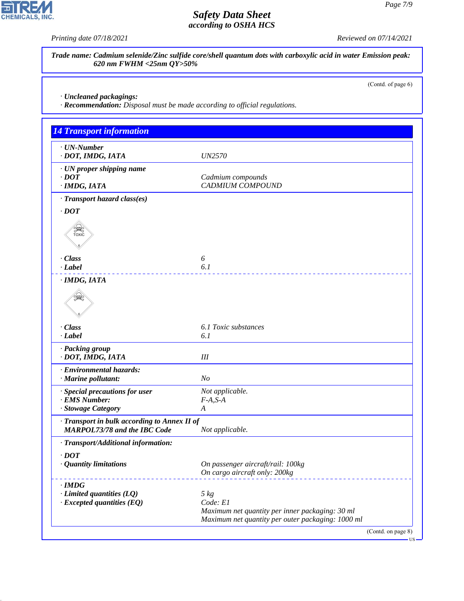$\overline{\mathbf{r}}$ 

**CHEMICALS, INC.** 

*Printing date 07/18/2021 Reviewed on 07/14/2021*

*Trade name: Cadmium selenide/Zinc sulfide core/shell quantum dots with carboxylic acid in water Emission peak: 620 nm FWHM <25nm QY>50%*

(Contd. of page 6)

*· Uncleaned packagings:*

44.1.1

*· Recommendation: Disposal must be made according to official regulations.*

| <b>14 Transport information</b>                                                     |                                                                                                      |  |
|-------------------------------------------------------------------------------------|------------------------------------------------------------------------------------------------------|--|
| $\cdot$ UN-Number<br>· DOT, IMDG, IATA                                              | <i>UN2570</i>                                                                                        |  |
| · UN proper shipping name<br>$\cdot$ DOT<br>· IMDG, IATA                            | Cadmium compounds<br><b>CADMIUM COMPOUND</b>                                                         |  |
| · Transport hazard class(es)                                                        |                                                                                                      |  |
| $\cdot$ DOT                                                                         |                                                                                                      |  |
| <b>SEE</b>                                                                          |                                                                                                      |  |
| · Class                                                                             | 6                                                                                                    |  |
| · Label                                                                             | 6.1                                                                                                  |  |
| · IMDG, IATA                                                                        |                                                                                                      |  |
|                                                                                     |                                                                                                      |  |
| · Class                                                                             | 6.1 Toxic substances                                                                                 |  |
| · Label                                                                             | 6.1                                                                                                  |  |
| · Packing group<br>· DOT, IMDG, IATA                                                | III                                                                                                  |  |
| · Environmental hazards:<br>· Marine pollutant:                                     | N <sub>O</sub>                                                                                       |  |
| · Special precautions for user                                                      | Not applicable.                                                                                      |  |
| · EMS Number:                                                                       | $F-A, S-A$                                                                                           |  |
| · Stowage Category                                                                  | $\boldsymbol{A}$                                                                                     |  |
| · Transport in bulk according to Annex II of<br><b>MARPOL73/78 and the IBC Code</b> | Not applicable.                                                                                      |  |
| · Transport/Additional information:                                                 |                                                                                                      |  |
| $\cdot$ <i>DOT</i>                                                                  |                                                                                                      |  |
| <b>Quantity limitations</b>                                                         | On passenger aircraft/rail: 100kg<br>On cargo aircraft only: 200kg                                   |  |
| $\cdot$ IMDG                                                                        |                                                                                                      |  |
| $\cdot$ Limited quantities (LQ)                                                     | $5 \ kg$                                                                                             |  |
| $\cdot$ Excepted quantities (EQ)                                                    | Code: E1                                                                                             |  |
|                                                                                     | Maximum net quantity per inner packaging: 30 ml<br>Maximum net quantity per outer packaging: 1000 ml |  |
|                                                                                     | (Contd. on page 8)                                                                                   |  |

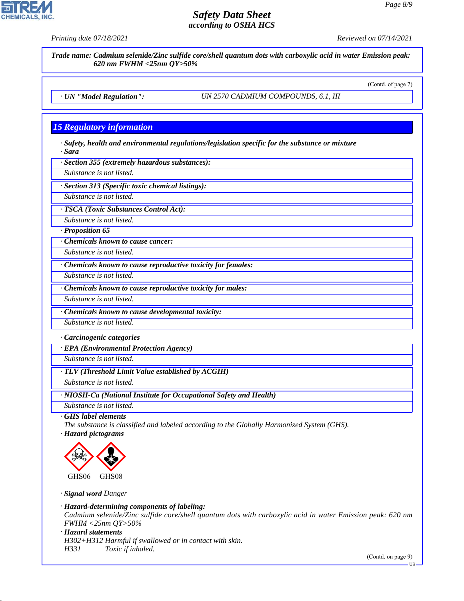



*· Sara*

*· Section 355 (extremely hazardous substances):*

*Substance is not listed.*

*· Section 313 (Specific toxic chemical listings):*

*Substance is not listed.*

*· TSCA (Toxic Substances Control Act):*

*Substance is not listed.*

*· Proposition 65*

*· Chemicals known to cause cancer:*

*Substance is not listed.*

*· Chemicals known to cause reproductive toxicity for females:*

*Substance is not listed.*

*· Chemicals known to cause reproductive toxicity for males:*

*Substance is not listed.*

*· Chemicals known to cause developmental toxicity:*

*Substance is not listed.*

*· Carcinogenic categories*

*· EPA (Environmental Protection Agency)*

*Substance is not listed.*

*· TLV (Threshold Limit Value established by ACGIH)*

*Substance is not listed.*

*· NIOSH-Ca (National Institute for Occupational Safety and Health)*

*Substance is not listed.*

*· GHS label elements*

*The substance is classified and labeled according to the Globally Harmonized System (GHS).*

*· Hazard pictograms*



*· Signal word Danger*

*· Hazard-determining components of labeling:*

*Cadmium selenide/Zinc sulfide core/shell quantum dots with carboxylic acid in water Emission peak: 620 nm FWHM <25nm QY>50%*

*· Hazard statements*

44.1.1

*H302+H312 Harmful if swallowed or in contact with skin. H331 Toxic if inhaled.*

(Contd. on page 9)



US